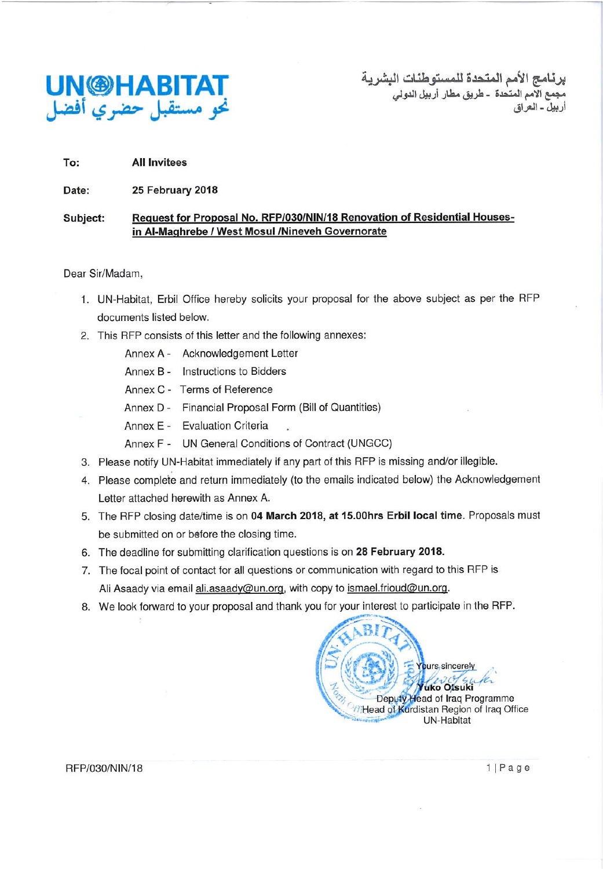

برنــامـج الأمم الـمتـحدة للمستوطنــات البشريــة<br>مجمع الامم المنحدة ــ طريق مطار أربيل الدولي<br>أربيل - الـعراق

To: **All Invitees** 

Date: 25 February 2018

#### Request for Proposal No. RFP/030/NIN/18 Renovation of Residential Houses-Subject: in Al-Maghrebe / West Mosul /Nineveh Governorate

Dear Sir/Madam,

- 1. UN-Habitat, Erbil Office hereby solicits your proposal for the above subject as per the RFP documents listed below.
- 2. This RFP consists of this letter and the following annexes:
	- Annex A Acknowledgement Letter
	- Annex B Instructions to Bidders
	- Annex C Terms of Reference
	- Annex D Financial Proposal Form (Bill of Quantities)
	- Annex E Evaluation Criteria
	- Annex F UN General Conditions of Contract (UNGCC)
- 3. Please notify UN-Habitat immediately if any part of this RFP is missing and/or illegible.
- 4. Please complete and return immediately (to the emails indicated below) the Acknowledgement Letter attached herewith as Annex A.
- 5. The RFP closing date/time is on 04 March 2018, at 15.00hrs Erbil local time. Proposals must be submitted on or before the closing time.
- 6. The deadline for submitting clarification questions is on 28 February 2018.
- 7. The focal point of contact for all questions or communication with regard to this RFP is Ali Asaady via email ali.asaady@un.org, with copy to ismael.frioud@un.org.
- 8. We look forward to your proposal and thank you for your interest to participate in the RFP.



RFP/030/NIN/18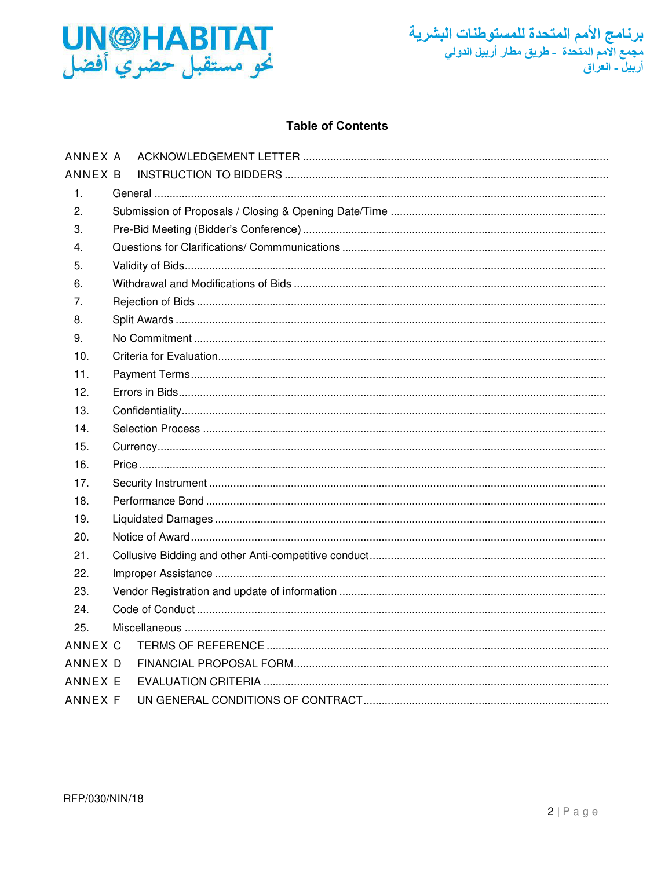



# **Table of Contents**

| ANNEX A |  |
|---------|--|
| ANNEX B |  |
| 1.      |  |
| 2.      |  |
| 3.      |  |
| 4.      |  |
| 5.      |  |
| 6.      |  |
| 7.      |  |
| 8.      |  |
| 9.      |  |
| 10.     |  |
| 11.     |  |
| 12.     |  |
| 13.     |  |
| 14.     |  |
| 15.     |  |
| 16.     |  |
| 17.     |  |
| 18.     |  |
| 19.     |  |
| 20.     |  |
| 21.     |  |
| 22.     |  |
| 23.     |  |
| 24.     |  |
| 25.     |  |
| ANNEX C |  |
| ANNEX D |  |
| ANNEX E |  |
| ANNEX F |  |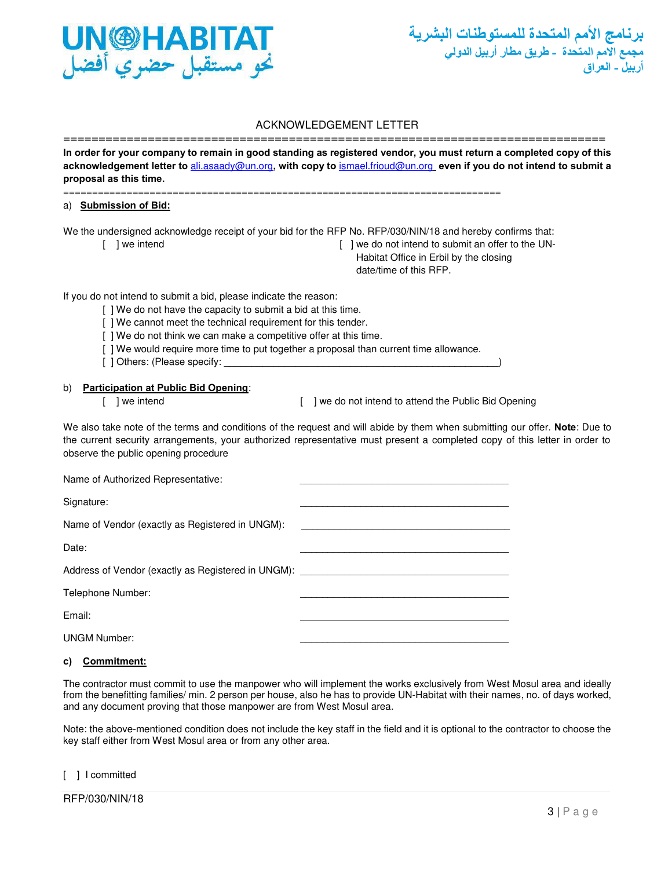

#### ACKNOWLEDGEMENT LETTER

<span id="page-2-0"></span>============================================================================= **In order for your company to remain in good standing as registered vendor, you must return a completed copy of this acknowledgement letter to** [ali.asaady@un.org](mailto:ali.asaady@un.org)**, with copy to** ismael.frioud@un.org **even if you do not intend to submit a proposal as this time.** 

============================================================================

#### a) **Submission of Bid:**

We the undersigned acknowledge receipt of your bid for the RFP No. RFP/030/NIN/18 and hereby confirms that:

- 
- [ ] we intend  $\blacksquare$  ] we do not intend to submit an offer to the UN- Habitat Office in Erbil by the closing date/time of this RFP.

If you do not intend to submit a bid, please indicate the reason:

- [ ] We do not have the capacity to submit a bid at this time.
- [ ] We cannot meet the technical requirement for this tender.
- [ ] We do not think we can make a competitive offer at this time.
- [ ] We would require more time to put together a proposal than current time allowance.
- [ ] Others: (Please specify:

#### b) **Participation at Public Bid Opening**:

[ ] we intend [ ] ] we do not intend to attend the Public Bid Opening

We also take note of the terms and conditions of the request and will abide by them when submitting our offer. **Note**: Due to the current security arrangements, your authorized representative must present a completed copy of this letter in order to observe the public opening procedure

| Name of Authorized Representative:                 |  |
|----------------------------------------------------|--|
| Signature:                                         |  |
| Name of Vendor (exactly as Registered in UNGM):    |  |
| Date:                                              |  |
| Address of Vendor (exactly as Registered in UNGM): |  |
| Telephone Number:                                  |  |
| Email:                                             |  |
| <b>UNGM Number:</b>                                |  |

#### **c) Commitment:**

The contractor must commit to use the manpower who will implement the works exclusively from West Mosul area and ideally from the benefitting families/ min. 2 person per house, also he has to provide UN-Habitat with their names, no. of days worked, and any document proving that those manpower are from West Mosul area.

Note: the above-mentioned condition does not include the key staff in the field and it is optional to the contractor to choose the key staff either from West Mosul area or from any other area.

#### [ ] I committed

RFP/030/NIN/18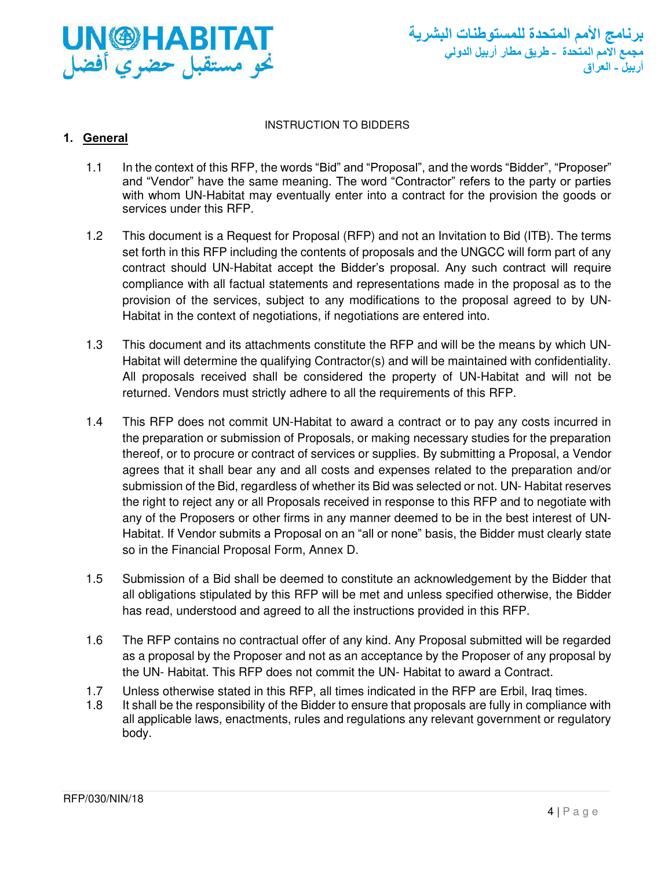

#### INSTRUCTION TO BIDDERS

# <span id="page-3-1"></span><span id="page-3-0"></span>**1. General**

- 1.1 In the context of this RFP, the words "Bid" and "Proposal", and the words "Bidder", "Proposer" and "Vendor" have the same meaning. The word "Contractor" refers to the party or parties with whom UN-Habitat may eventually enter into a contract for the provision the goods or services under this RFP.
- 1.2 This document is a Request for Proposal (RFP) and not an Invitation to Bid (ITB). The terms set forth in this RFP including the contents of proposals and the UNGCC will form part of any contract should UN-Habitat accept the Bidder's proposal. Any such contract will require compliance with all factual statements and representations made in the proposal as to the provision of the services, subject to any modifications to the proposal agreed to by UN-Habitat in the context of negotiations, if negotiations are entered into.
- 1.3 This document and its attachments constitute the RFP and will be the means by which UN-Habitat will determine the qualifying Contractor(s) and will be maintained with confidentiality. All proposals received shall be considered the property of UN-Habitat and will not be returned. Vendors must strictly adhere to all the requirements of this RFP.
- 1.4 This RFP does not commit UN-Habitat to award a contract or to pay any costs incurred in the preparation or submission of Proposals, or making necessary studies for the preparation thereof, or to procure or contract of services or supplies. By submitting a Proposal, a Vendor agrees that it shall bear any and all costs and expenses related to the preparation and/or submission of the Bid, regardless of whether its Bid was selected or not. UN- Habitat reserves the right to reject any or all Proposals received in response to this RFP and to negotiate with any of the Proposers or other firms in any manner deemed to be in the best interest of UN-Habitat. If Vendor submits a Proposal on an "all or none" basis, the Bidder must clearly state so in the Financial Proposal Form, Annex D.
- 1.5 Submission of a Bid shall be deemed to constitute an acknowledgement by the Bidder that all obligations stipulated by this RFP will be met and unless specified otherwise, the Bidder has read, understood and agreed to all the instructions provided in this RFP.
- 1.6 The RFP contains no contractual offer of any kind. Any Proposal submitted will be regarded as a proposal by the Proposer and not as an acceptance by the Proposer of any proposal by the UN- Habitat. This RFP does not commit the UN- Habitat to award a Contract.
- 1.7 Unless otherwise stated in this RFP, all times indicated in the RFP are Erbil, Iraq times.
- 1.8 It shall be the responsibility of the Bidder to ensure that proposals are fully in compliance with all applicable laws, enactments, rules and regulations any relevant government or regulatory body.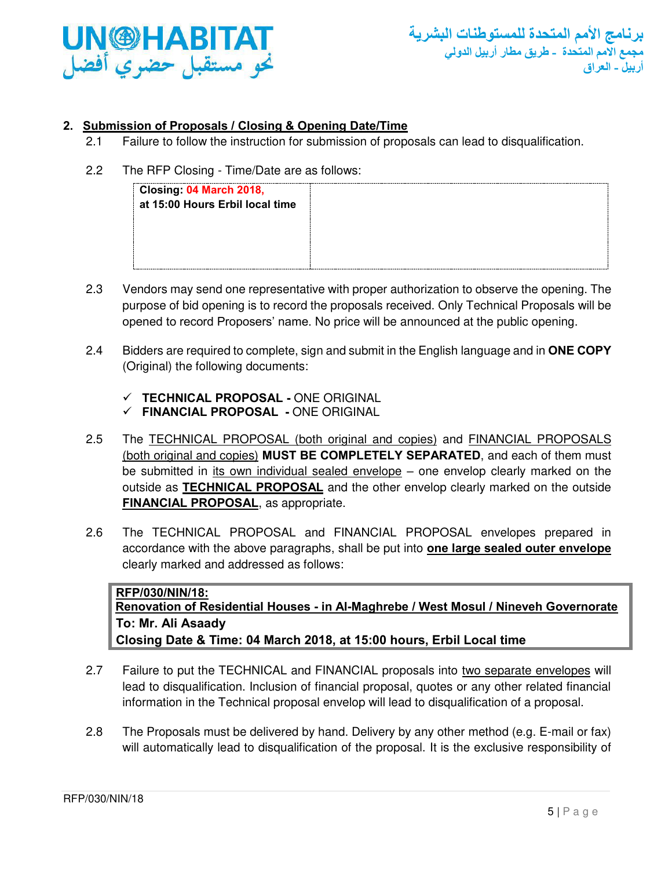

# <span id="page-4-0"></span>**2. Submission of Proposals / Closing & Opening Date/Time**

2.1 Failure to follow the instruction for submission of proposals can lead to disqualification.

# 2.2 The RFP Closing - Time/Date are as follows:

| Closing: 04 March 2018,<br>at 15:00 Hours Erbil local time |  |
|------------------------------------------------------------|--|
|                                                            |  |
|                                                            |  |

- 2.3 Vendors may send one representative with proper authorization to observe the opening. The purpose of bid opening is to record the proposals received. Only Technical Proposals will be opened to record Proposers' name. No price will be announced at the public opening.
- 2.4 Bidders are required to complete, sign and submit in the English language and in **ONE COPY**  (Original) the following documents:
	- ✓ **TECHNICAL PROPOSAL -** ONE ORIGINAL
	- ✓ **FINANCIAL PROPOSAL** ONE ORIGINAL
- 2.5 The TECHNICAL PROPOSAL (both original and copies) and FINANCIAL PROPOSALS (both original and copies) **MUST BE COMPLETELY SEPARATED**, and each of them must be submitted in its own individual sealed envelope – one envelop clearly marked on the outside as **TECHNICAL PROPOSAL** and the other envelop clearly marked on the outside **FINANCIAL PROPOSAL**, as appropriate.
- 2.6 The TECHNICAL PROPOSAL and FINANCIAL PROPOSAL envelopes prepared in accordance with the above paragraphs, shall be put into **one large sealed outer envelope** clearly marked and addressed as follows:

**RFP/030/NIN/18: Renovation of Residential Houses - in Al-Maghrebe / West Mosul / Nineveh Governorate To: Mr. Ali Asaady Closing Date & Time: 04 March 2018, at 15:00 hours, Erbil Local time**

- 2.7 Failure to put the TECHNICAL and FINANCIAL proposals into two separate envelopes will lead to disqualification. Inclusion of financial proposal, quotes or any other related financial information in the Technical proposal envelop will lead to disqualification of a proposal.
- 2.8 The Proposals must be delivered by hand. Delivery by any other method (e.g. E-mail or fax) will automatically lead to disqualification of the proposal. It is the exclusive responsibility of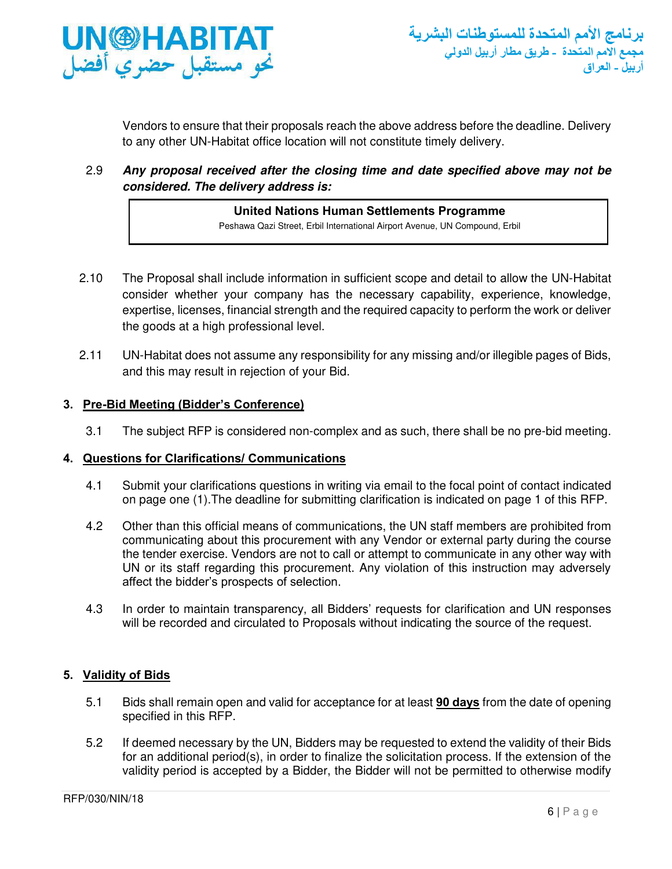

Vendors to ensure that their proposals reach the above address before the deadline. Delivery to any other UN-Habitat office location will not constitute timely delivery.

2.9 *Any proposal received after the closing time and date specified above may not be considered. The delivery address is:* 

# **United Nations Human Settlements Programme**

Peshawa Qazi Street, Erbil International Airport Avenue, UN Compound, Erbil

- 2.10 The Proposal shall include information in sufficient scope and detail to allow the UN-Habitat consider whether your company has the necessary capability, experience, knowledge, expertise, licenses, financial strength and the required capacity to perform the work or deliver the goods at a high professional level.
- 2.11 UN-Habitat does not assume any responsibility for any missing and/or illegible pages of Bids, and this may result in rejection of your Bid.

# <span id="page-5-0"></span>**3. Pre-Bid Meeting (Bidder's Conference)**

3.1 The subject RFP is considered non-complex and as such, there shall be no pre-bid meeting.

# <span id="page-5-1"></span>**4. Questions for Clarifications/ Communications**

- 4.1 Submit your clarifications questions in writing via email to the focal point of contact indicated on page one (1).The deadline for submitting clarification is indicated on page 1 of this RFP.
- 4.2 Other than this official means of communications, the UN staff members are prohibited from communicating about this procurement with any Vendor or external party during the course the tender exercise. Vendors are not to call or attempt to communicate in any other way with UN or its staff regarding this procurement. Any violation of this instruction may adversely affect the bidder's prospects of selection.
- 4.3 In order to maintain transparency, all Bidders' requests for clarification and UN responses will be recorded and circulated to Proposals without indicating the source of the request.

# <span id="page-5-2"></span>**5. Validity of Bids**

- 5.1 Bids shall remain open and valid for acceptance for at least **90 days** from the date of opening specified in this RFP.
- 5.2 If deemed necessary by the UN, Bidders may be requested to extend the validity of their Bids for an additional period(s), in order to finalize the solicitation process. If the extension of the validity period is accepted by a Bidder, the Bidder will not be permitted to otherwise modify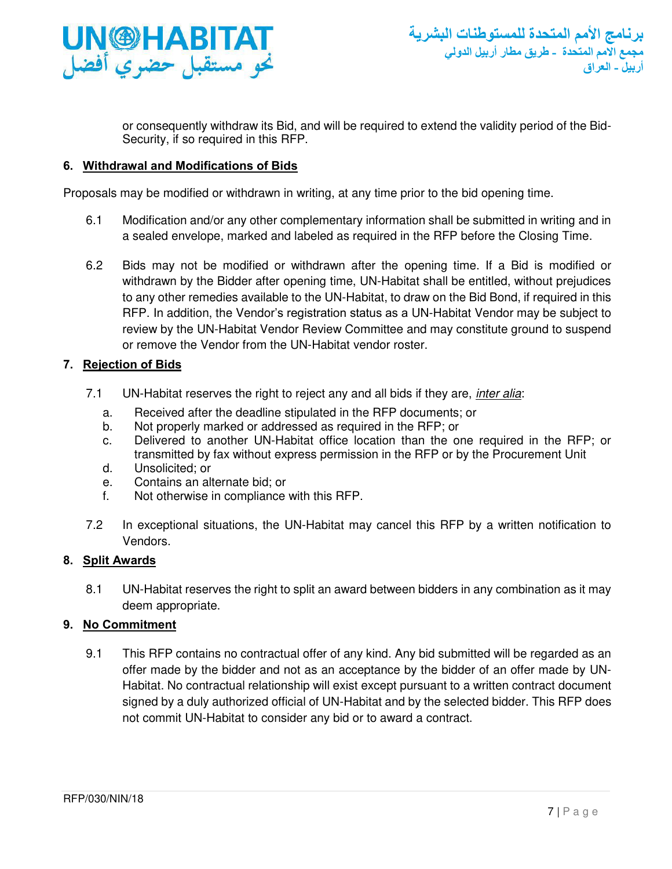

or consequently withdraw its Bid, and will be required to extend the validity period of the Bid-Security, if so required in this RFP.

# <span id="page-6-0"></span>**6. Withdrawal and Modifications of Bids**

Proposals may be modified or withdrawn in writing, at any time prior to the bid opening time.

- 6.1 Modification and/or any other complementary information shall be submitted in writing and in a sealed envelope, marked and labeled as required in the RFP before the Closing Time.
- 6.2 Bids may not be modified or withdrawn after the opening time. If a Bid is modified or withdrawn by the Bidder after opening time, UN-Habitat shall be entitled, without prejudices to any other remedies available to the UN-Habitat, to draw on the Bid Bond, if required in this RFP. In addition, the Vendor's registration status as a UN-Habitat Vendor may be subject to review by the UN-Habitat Vendor Review Committee and may constitute ground to suspend or remove the Vendor from the UN-Habitat vendor roster.

## <span id="page-6-1"></span>**7. Rejection of Bids**

- 7.1 UN-Habitat reserves the right to reject any and all bids if they are, *inter alia*:
	- a. Received after the deadline stipulated in the RFP documents; or
	- b. Not properly marked or addressed as required in the RFP; or
	- c. Delivered to another UN-Habitat office location than the one required in the RFP; or transmitted by fax without express permission in the RFP or by the Procurement Unit
	- d. Unsolicited; or
	- e. Contains an alternate bid; or
	- f. Not otherwise in compliance with this RFP.
- 7.2 In exceptional situations, the UN-Habitat may cancel this RFP by a written notification to Vendors.

#### <span id="page-6-2"></span>**8. Split Awards**

8.1 UN-Habitat reserves the right to split an award between bidders in any combination as it may deem appropriate.

# <span id="page-6-3"></span>**9. No Commitment**

9.1 This RFP contains no contractual offer of any kind. Any bid submitted will be regarded as an offer made by the bidder and not as an acceptance by the bidder of an offer made by UN-Habitat. No contractual relationship will exist except pursuant to a written contract document signed by a duly authorized official of UN-Habitat and by the selected bidder. This RFP does not commit UN-Habitat to consider any bid or to award a contract.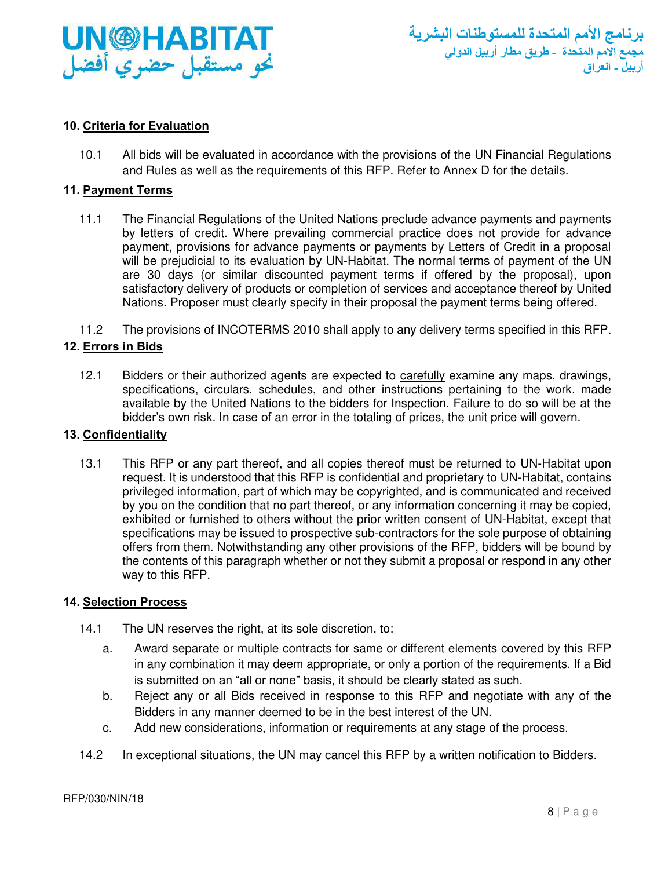

# <span id="page-7-0"></span>**10. Criteria for Evaluation**

10.1 All bids will be evaluated in accordance with the provisions of the UN Financial Regulations and Rules as well as the requirements of this RFP. Refer to Annex D for the details.

#### <span id="page-7-1"></span>**11. Payment Terms**

- 11.1 The Financial Regulations of the United Nations preclude advance payments and payments by letters of credit. Where prevailing commercial practice does not provide for advance payment, provisions for advance payments or payments by Letters of Credit in a proposal will be prejudicial to its evaluation by UN-Habitat. The normal terms of payment of the UN are 30 days (or similar discounted payment terms if offered by the proposal), upon satisfactory delivery of products or completion of services and acceptance thereof by United Nations. Proposer must clearly specify in their proposal the payment terms being offered.
- 11.2 The provisions of INCOTERMS 2010 shall apply to any delivery terms specified in this RFP.

## <span id="page-7-2"></span>**12. Errors in Bids**

12.1 Bidders or their authorized agents are expected to carefully examine any maps, drawings, specifications, circulars, schedules, and other instructions pertaining to the work, made available by the United Nations to the bidders for Inspection. Failure to do so will be at the bidder's own risk. In case of an error in the totaling of prices, the unit price will govern.

# <span id="page-7-3"></span>**13. Confidentiality**

13.1 This RFP or any part thereof, and all copies thereof must be returned to UN-Habitat upon request. It is understood that this RFP is confidential and proprietary to UN-Habitat, contains privileged information, part of which may be copyrighted, and is communicated and received by you on the condition that no part thereof, or any information concerning it may be copied, exhibited or furnished to others without the prior written consent of UN-Habitat, except that specifications may be issued to prospective sub-contractors for the sole purpose of obtaining offers from them. Notwithstanding any other provisions of the RFP, bidders will be bound by the contents of this paragraph whether or not they submit a proposal or respond in any other way to this RFP.

#### <span id="page-7-4"></span>**14. Selection Process**

- 14.1 The UN reserves the right, at its sole discretion, to:
	- a. Award separate or multiple contracts for same or different elements covered by this RFP in any combination it may deem appropriate, or only a portion of the requirements. If a Bid is submitted on an "all or none" basis, it should be clearly stated as such.
	- b. Reject any or all Bids received in response to this RFP and negotiate with any of the Bidders in any manner deemed to be in the best interest of the UN.
	- c. Add new considerations, information or requirements at any stage of the process.
- 14.2 In exceptional situations, the UN may cancel this RFP by a written notification to Bidders.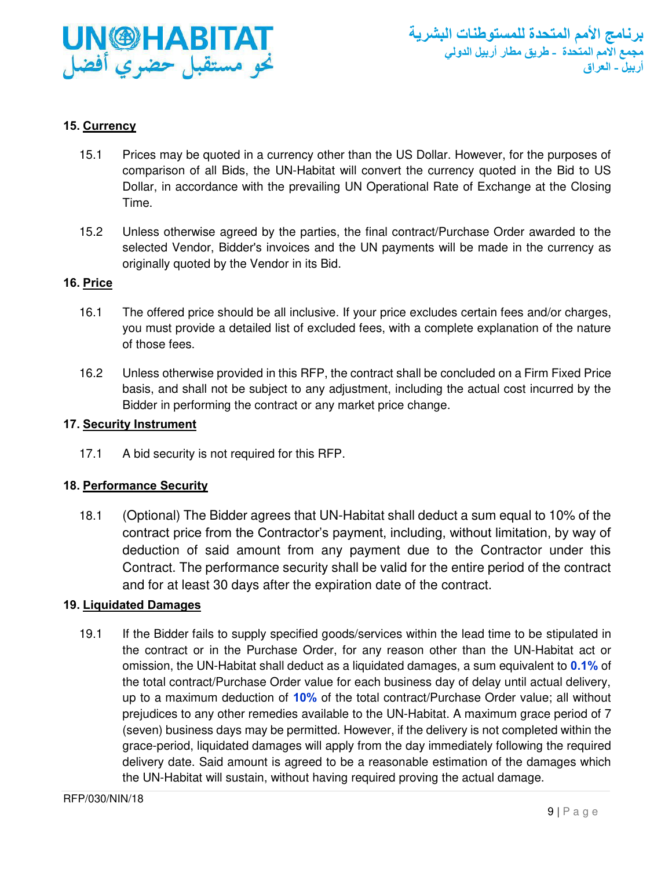

# <span id="page-8-0"></span>**15. Currency**

- 15.1 Prices may be quoted in a currency other than the US Dollar. However, for the purposes of comparison of all Bids, the UN-Habitat will convert the currency quoted in the Bid to US Dollar, in accordance with the prevailing UN Operational Rate of Exchange at the Closing Time.
- 15.2 Unless otherwise agreed by the parties, the final contract/Purchase Order awarded to the selected Vendor, Bidder's invoices and the UN payments will be made in the currency as originally quoted by the Vendor in its Bid.

## <span id="page-8-1"></span>**16. Price**

- 16.1 The offered price should be all inclusive. If your price excludes certain fees and/or charges, you must provide a detailed list of excluded fees, with a complete explanation of the nature of those fees.
- 16.2 Unless otherwise provided in this RFP, the contract shall be concluded on a Firm Fixed Price basis, and shall not be subject to any adjustment, including the actual cost incurred by the Bidder in performing the contract or any market price change.

# <span id="page-8-2"></span>**17. Security Instrument**

17.1 A bid security is not required for this RFP.

# <span id="page-8-3"></span>**18. Performance Security**

18.1 (Optional) The Bidder agrees that UN-Habitat shall deduct a sum equal to 10% of the contract price from the Contractor's payment, including, without limitation, by way of deduction of said amount from any payment due to the Contractor under this Contract. The performance security shall be valid for the entire period of the contract and for at least 30 days after the expiration date of the contract.

#### <span id="page-8-4"></span>**19. Liquidated Damages**

19.1 If the Bidder fails to supply specified goods/services within the lead time to be stipulated in the contract or in the Purchase Order, for any reason other than the UN-Habitat act or omission, the UN-Habitat shall deduct as a liquidated damages, a sum equivalent to **0.1%** of the total contract/Purchase Order value for each business day of delay until actual delivery, up to a maximum deduction of **10%** of the total contract/Purchase Order value; all without prejudices to any other remedies available to the UN-Habitat. A maximum grace period of 7 (seven) business days may be permitted. However, if the delivery is not completed within the grace-period, liquidated damages will apply from the day immediately following the required delivery date. Said amount is agreed to be a reasonable estimation of the damages which the UN-Habitat will sustain, without having required proving the actual damage.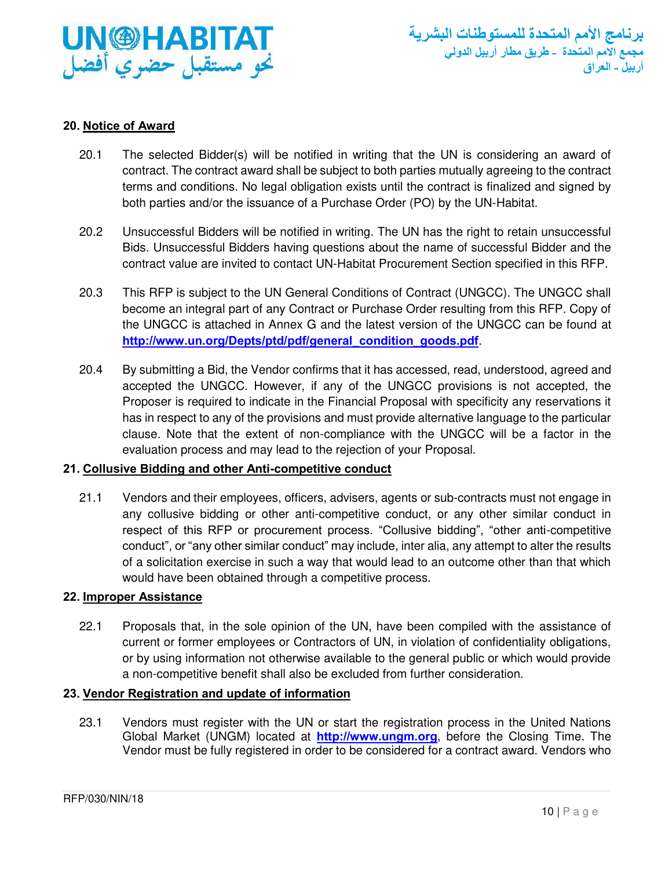

# <span id="page-9-0"></span>**20. Notice of Award**

- 20.1 The selected Bidder(s) will be notified in writing that the UN is considering an award of contract. The contract award shall be subject to both parties mutually agreeing to the contract terms and conditions. No legal obligation exists until the contract is finalized and signed by both parties and/or the issuance of a Purchase Order (PO) by the UN-Habitat.
- 20.2 Unsuccessful Bidders will be notified in writing. The UN has the right to retain unsuccessful Bids. Unsuccessful Bidders having questions about the name of successful Bidder and the contract value are invited to contact UN-Habitat Procurement Section specified in this RFP.
- 20.3 This RFP is subject to the UN General Conditions of Contract (UNGCC). The UNGCC shall become an integral part of any Contract or Purchase Order resulting from this RFP. Copy of the UNGCC is attached in Annex G and the latest version of the UNGCC can be found at **[http://www.un.org/Depts/ptd/pdf/general\\_condition\\_goods.pdf](http://www.un.org/Depts/ptd/pdf/general_condition_goods.pdf)**.
- 20.4 By submitting a Bid, the Vendor confirms that it has accessed, read, understood, agreed and accepted the UNGCC. However, if any of the UNGCC provisions is not accepted, the Proposer is required to indicate in the Financial Proposal with specificity any reservations it has in respect to any of the provisions and must provide alternative language to the particular clause. Note that the extent of non-compliance with the UNGCC will be a factor in the evaluation process and may lead to the rejection of your Proposal.

# <span id="page-9-1"></span>**21. Collusive Bidding and other Anti-competitive conduct**

21.1 Vendors and their employees, officers, advisers, agents or sub-contracts must not engage in any collusive bidding or other anti-competitive conduct, or any other similar conduct in respect of this RFP or procurement process. "Collusive bidding", "other anti-competitive conduct", or "any other similar conduct" may include, inter alia, any attempt to alter the results of a solicitation exercise in such a way that would lead to an outcome other than that which would have been obtained through a competitive process.

#### <span id="page-9-2"></span>**22. Improper Assistance**

22.1 Proposals that, in the sole opinion of the UN, have been compiled with the assistance of current or former employees or Contractors of UN, in violation of confidentiality obligations, or by using information not otherwise available to the general public or which would provide a non-competitive benefit shall also be excluded from further consideration.

# <span id="page-9-3"></span>**23. Vendor Registration and update of information**

23.1 Vendors must register with the UN or start the registration process in the United Nations Global Market (UNGM) located at **[http://www.ungm.org](http://www.ungm.org/)**, before the Closing Time. The Vendor must be fully registered in order to be considered for a contract award. Vendors who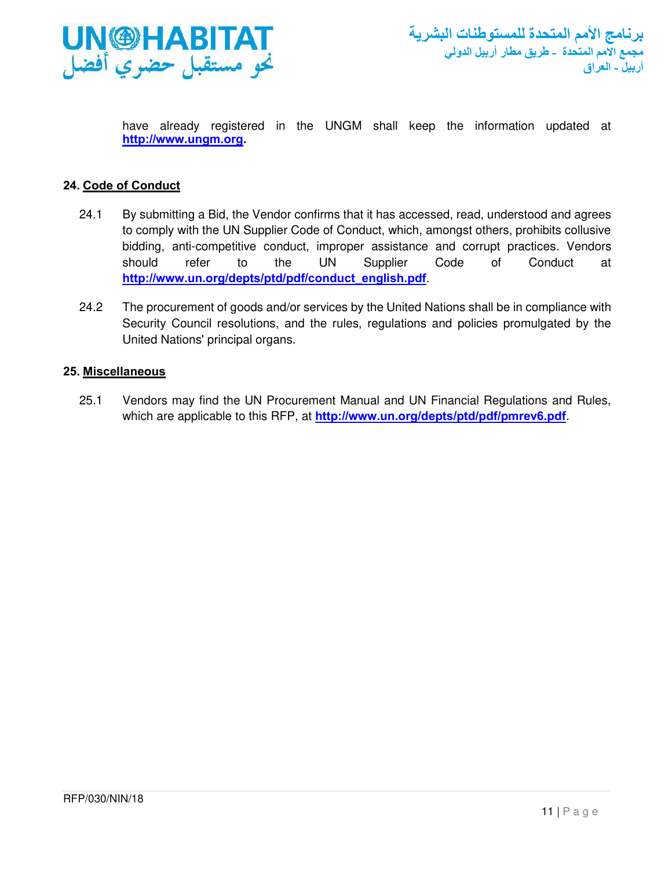

have already registered in the UNGM shall keep the information updated at **[http://www.ungm.org.](http://www.ungm.org/)** 

# <span id="page-10-0"></span>**24. Code of Conduct**

- 24.1 By submitting a Bid, the Vendor confirms that it has accessed, read, understood and agrees to comply with the UN Supplier Code of Conduct, which, amongst others, prohibits collusive bidding, anti-competitive conduct, improper assistance and corrupt practices. Vendors should refer to the UN Supplier Code of Conduct at **[http://www.un.org/depts/ptd/pdf/conduct\\_english.pdf](http://www.un.org/depts/ptd/pdf/conduct_english.pdf)**.
- 24.2 The procurement of goods and/or services by the United Nations shall be in compliance with Security Council resolutions, and the rules, regulations and policies promulgated by the United Nations' principal organs.

## <span id="page-10-1"></span>**25. Miscellaneous**

25.1 Vendors may find the UN Procurement Manual and UN Financial Regulations and Rules, which are applicable to this RFP, at **<http://www.un.org/depts/ptd/pdf/pmrev6.pdf>**.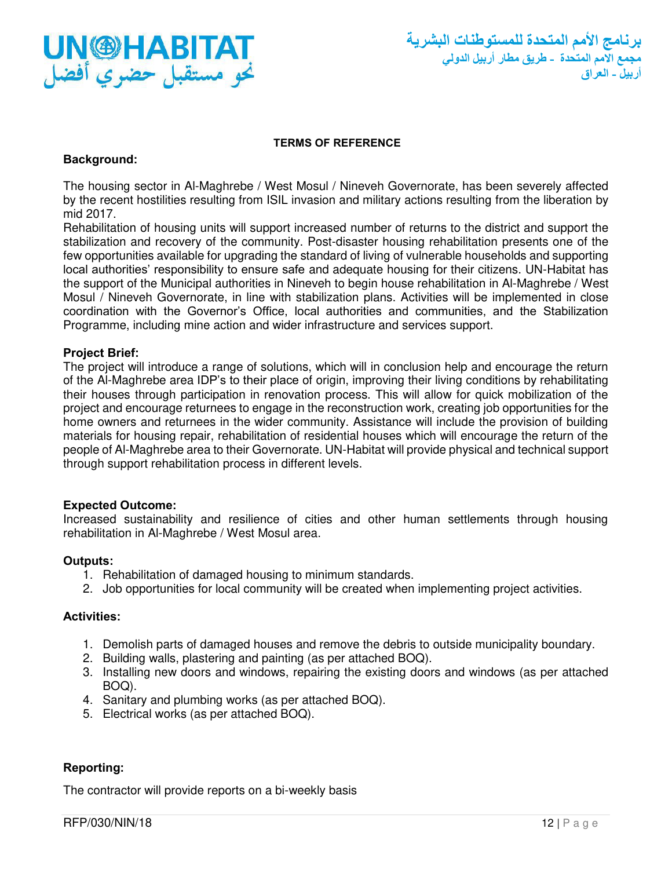

#### **TERMS OF REFERENCE**

#### <span id="page-11-0"></span>**Background:**

The housing sector in Al-Maghrebe / West Mosul / Nineveh Governorate, has been severely affected by the recent hostilities resulting from ISIL invasion and military actions resulting from the liberation by mid 2017.

Rehabilitation of housing units will support increased number of returns to the district and support the stabilization and recovery of the community. Post-disaster housing rehabilitation presents one of the few opportunities available for upgrading the standard of living of vulnerable households and supporting local authorities' responsibility to ensure safe and adequate housing for their citizens. UN-Habitat has the support of the Municipal authorities in Nineveh to begin house rehabilitation in Al-Maghrebe / West Mosul / Nineveh Governorate, in line with stabilization plans. Activities will be implemented in close coordination with the Governor's Office, local authorities and communities, and the Stabilization Programme, including mine action and wider infrastructure and services support.

## **Project Brief:**

The project will introduce a range of solutions, which will in conclusion help and encourage the return of the Al-Maghrebe area IDP's to their place of origin, improving their living conditions by rehabilitating their houses through participation in renovation process. This will allow for quick mobilization of the project and encourage returnees to engage in the reconstruction work, creating job opportunities for the home owners and returnees in the wider community. Assistance will include the provision of building materials for housing repair, rehabilitation of residential houses which will encourage the return of the people of Al-Maghrebe area to their Governorate. UN-Habitat will provide physical and technical support through support rehabilitation process in different levels.

#### **Expected Outcome:**

Increased sustainability and resilience of cities and other human settlements through housing rehabilitation in Al-Maghrebe / West Mosul area.

#### **Outputs:**

- 1. Rehabilitation of damaged housing to minimum standards.
- 2. Job opportunities for local community will be created when implementing project activities.

## **Activities:**

- 1. Demolish parts of damaged houses and remove the debris to outside municipality boundary.
- 2. Building walls, plastering and painting (as per attached BOQ).
- 3. Installing new doors and windows, repairing the existing doors and windows (as per attached BOQ).
- 4. Sanitary and plumbing works (as per attached BOQ).
- 5. Electrical works (as per attached BOQ).

#### **Reporting:**

The contractor will provide reports on a bi-weekly basis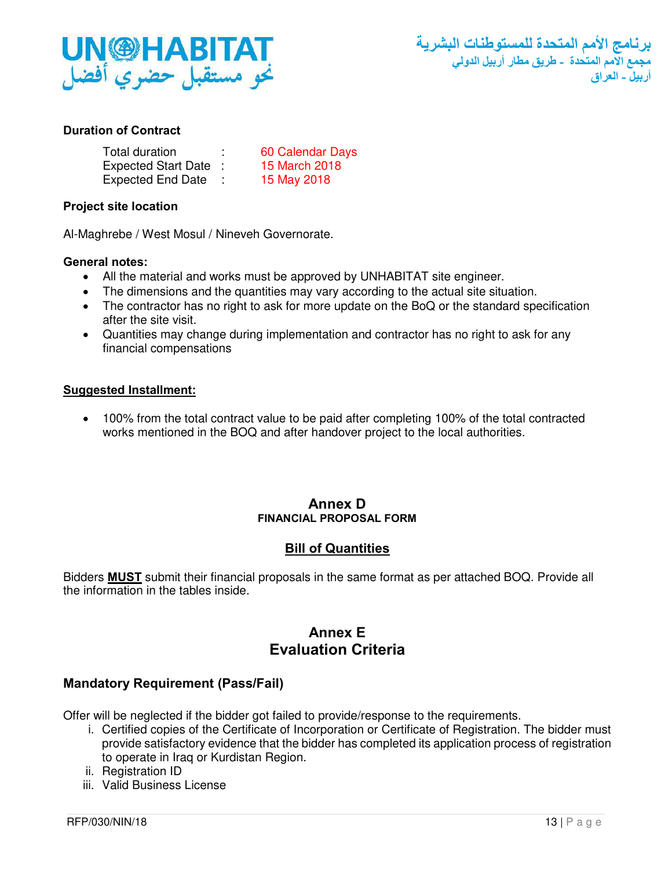

# **Duration of Contract**

| Total duration           | 60 Calendar Days |
|--------------------------|------------------|
| Expected Start Date :    | 15 March 2018    |
| <b>Expected End Date</b> | 15 May 2018      |

## **Project site location**

Al-Maghrebe / West Mosul / Nineveh Governorate.

## **General notes:**

- All the material and works must be approved by UNHABITAT site engineer.
- The dimensions and the quantities may vary according to the actual site situation.
- The contractor has no right to ask for more update on the BoQ or the standard specification after the site visit.
- Quantities may change during implementation and contractor has no right to ask for any financial compensations

## **Suggested Installment:**

• 100% from the total contract value to be paid after completing 100% of the total contracted works mentioned in the BOQ and after handover project to the local authorities.

## **Annex D FINANCIAL PROPOSAL FORM**

# **Bill of Quantities**

<span id="page-12-0"></span>Bidders **MUST** submit their financial proposals in the same format as per attached BOQ. Provide all the information in the tables inside.

# **Annex E Evaluation Criteria**

# **Mandatory Requirement (Pass/Fail)**

Offer will be neglected if the bidder got failed to provide/response to the requirements.

- i. Certified copies of the Certificate of Incorporation or Certificate of Registration. The bidder must provide satisfactory evidence that the bidder has completed its application process of registration to operate in Iraq or Kurdistan Region.
- ii. Registration ID
- iii. Valid Business License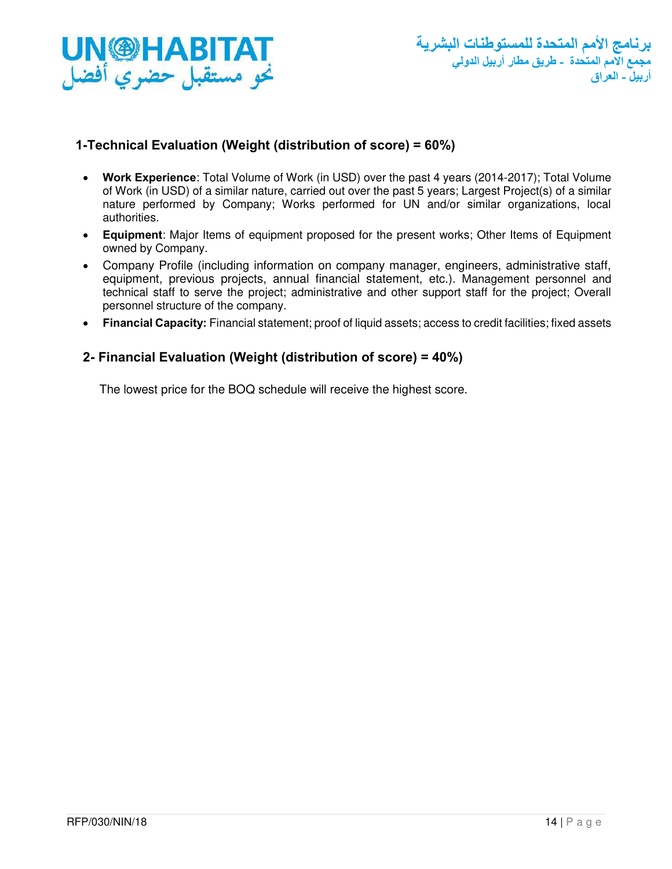

# **1-Technical Evaluation (Weight (distribution of score) = 60%)**

- **Work Experience**: Total Volume of Work (in USD) over the past 4 years (2014-2017); Total Volume of Work (in USD) of a similar nature, carried out over the past 5 years; Largest Project(s) of a similar nature performed by Company; Works performed for UN and/or similar organizations, local authorities.
- **Equipment**: Major Items of equipment proposed for the present works; Other Items of Equipment owned by Company.
- Company Profile (including information on company manager, engineers, administrative staff, equipment, previous projects, annual financial statement, etc.). Management personnel and technical staff to serve the project; administrative and other support staff for the project; Overall personnel structure of the company.
- **Financial Capacity:** Financial statement; proof of liquid assets; access to credit facilities; fixed assets

# **2- Financial Evaluation (Weight (distribution of score) = 40%)**

The lowest price for the BOQ schedule will receive the highest score.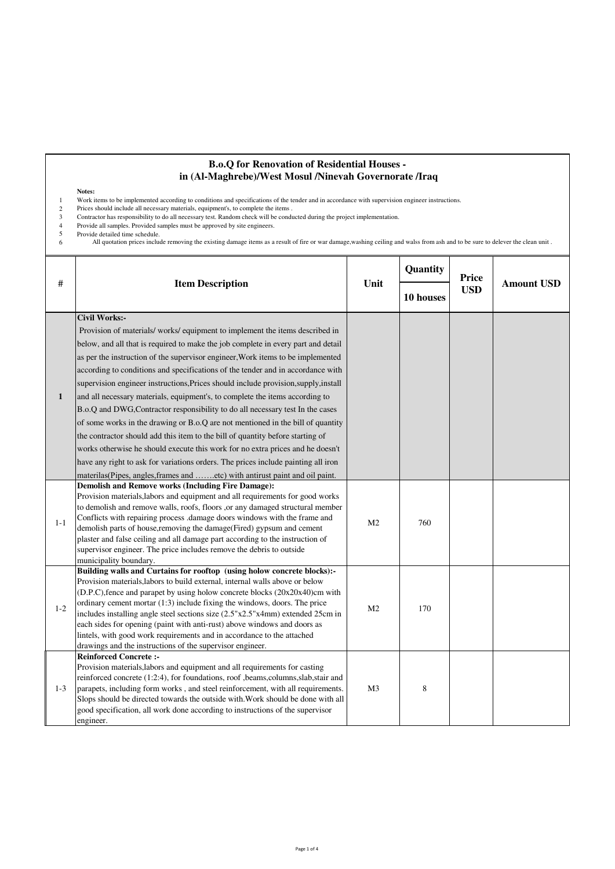#### **B.o.Q for Renovation of Residential Houses in (Al-Maghrebe)/West Mosul /Ninevah Governorate /Iraq**

#### **Notes:**

1 Work items to be implemented according to conditions and specifications of the tender and in accordance with supervision engineer instructions.

- 2 Prices should include all necessary materials, equipment's, to complete the items .
- 3 Contractor has responsibility to do all necessary test. Random check will be conducted during the project implementation.
- Provide all samples. Provided samples must be approved by site engineers. Provide detailed time schedule.  $\begin{array}{c} 4 \\ 5 \\ 6 \end{array}$

All quotation prices include removing the existing damage items as a result of fire or war damage, washing ceiling and walss from ash and to be sure to delever the clean unit .

| #            | <b>Item Description</b>                                                                           | Unit           | Quantity  | Price      |                   |
|--------------|---------------------------------------------------------------------------------------------------|----------------|-----------|------------|-------------------|
|              |                                                                                                   |                | 10 houses | <b>USD</b> | <b>Amount USD</b> |
|              | <b>Civil Works:-</b>                                                                              |                |           |            |                   |
|              | Provision of materials/works/equipment to implement the items described in                        |                |           |            |                   |
|              | below, and all that is required to make the job complete in every part and detail                 |                |           |            |                   |
|              | as per the instruction of the supervisor engineer, Work items to be implemented                   |                |           |            |                   |
|              | according to conditions and specifications of the tender and in accordance with                   |                |           |            |                   |
|              | supervision engineer instructions, Prices should include provision, supply, install               |                |           |            |                   |
| $\mathbf{1}$ | and all necessary materials, equipment's, to complete the items according to                      |                |           |            |                   |
|              | B.o.Q and DWG, Contractor responsibility to do all necessary test In the cases                    |                |           |            |                   |
|              |                                                                                                   |                |           |            |                   |
|              | of some works in the drawing or B.o.Q are not mentioned in the bill of quantity                   |                |           |            |                   |
|              | the contractor should add this item to the bill of quantity before starting of                    |                |           |            |                   |
|              | works otherwise he should execute this work for no extra prices and he doesn't                    |                |           |            |                   |
|              | have any right to ask for variations orders. The prices include painting all iron                 |                |           |            |                   |
|              | materilas(Pipes, angles, frames and etc) with antirust paint and oil paint.                       |                |           |            |                   |
|              | <b>Demolish and Remove works (Including Fire Damage):</b>                                         |                |           |            |                   |
|              | Provision materials, labors and equipment and all requirements for good works                     |                |           |            |                   |
|              | to demolish and remove walls, roofs, floors ,or any damaged structural member                     |                |           |            |                   |
| $1 - 1$      | Conflicts with repairing process .damage doors windows with the frame and                         | M <sub>2</sub> | 760       |            |                   |
|              | demolish parts of house, removing the damage (Fired) gypsum and cement                            |                |           |            |                   |
|              | plaster and false ceiling and all damage part according to the instruction of                     |                |           |            |                   |
|              | supervisor engineer. The price includes remove the debris to outside                              |                |           |            |                   |
|              | municipality boundary.<br>Building walls and Curtains for rooftop (using holow concrete blocks):- |                |           |            |                   |
|              | Provision materials, labors to build external, internal walls above or below                      |                |           |            |                   |
|              | (D.P.C), fence and parapet by using holow concrete blocks (20x20x40)cm with                       | M <sub>2</sub> | 170       |            |                   |
|              | ordinary cement mortar (1:3) include fixing the windows, doors. The price                         |                |           |            |                   |
| $1 - 2$      | includes installing angle steel sections size (2.5"x2.5"x4mm) extended 25cm in                    |                |           |            |                   |
|              | each sides for opening (paint with anti-rust) above windows and doors as                          |                |           |            |                   |
|              | lintels, with good work requirements and in accordance to the attached                            |                |           |            |                   |
|              | drawings and the instructions of the supervisor engineer.                                         |                |           |            |                   |
|              | <b>Reinforced Concrete:-</b>                                                                      |                |           |            |                   |
|              | Provision materials, labors and equipment and all requirements for casting                        |                |           |            |                   |
|              | reinforced concrete (1:2:4), for foundations, roof ,beams,columns,slab,stair and                  |                |           |            |                   |
| $1 - 3$      | parapets, including form works, and steel reinforcement, with all requirements.                   | M <sub>3</sub> | 8         |            |                   |
|              | Slops should be directed towards the outside with. Work should be done with all                   |                |           |            |                   |
|              | good specification, all work done according to instructions of the supervisor                     |                |           |            |                   |
|              | engineer.                                                                                         |                |           |            |                   |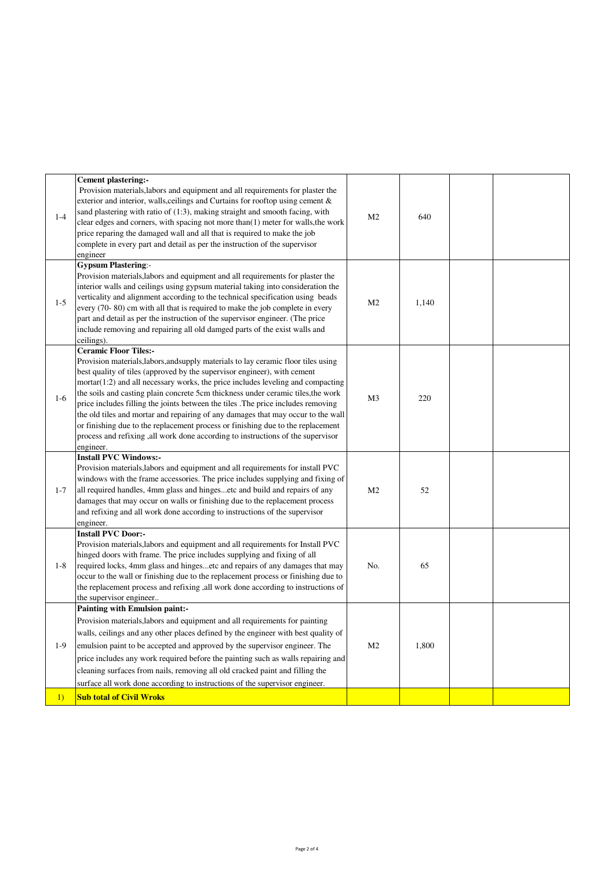| $1 - 4$ | <b>Cement plastering:-</b><br>Provision materials, labors and equipment and all requirements for plaster the<br>exterior and interior, walls, ceilings and Curtains for rooftop using cement &<br>sand plastering with ratio of (1:3), making straight and smooth facing, with<br>clear edges and corners, with spacing not more than $(1)$ meter for walls, the work<br>price reparing the damaged wall and all that is required to make the job<br>complete in every part and detail as per the instruction of the supervisor<br>engineer                                                                                                                                                                                         | M <sub>2</sub> | 640   |  |
|---------|-------------------------------------------------------------------------------------------------------------------------------------------------------------------------------------------------------------------------------------------------------------------------------------------------------------------------------------------------------------------------------------------------------------------------------------------------------------------------------------------------------------------------------------------------------------------------------------------------------------------------------------------------------------------------------------------------------------------------------------|----------------|-------|--|
| $1 - 5$ | <b>Gypsum Plastering:-</b><br>Provision materials, labors and equipment and all requirements for plaster the<br>interior walls and ceilings using gypsum material taking into consideration the<br>verticality and alignment according to the technical specification using beads<br>every (70-80) cm with all that is required to make the job complete in every<br>part and detail as per the instruction of the supervisor engineer. (The price<br>include removing and repairing all old damged parts of the exist walls and<br>ceilings).                                                                                                                                                                                      | M <sub>2</sub> | 1,140 |  |
| $1-6$   | <b>Ceramic Floor Tiles:-</b><br>Provision materials, labors, and supply materials to lay ceramic floor tiles using<br>best quality of tiles (approved by the supervisor engineer), with cement<br>$mortar(1:2)$ and all necessary works, the price includes leveling and compacting<br>the soils and casting plain concrete 5cm thickness under ceramic tiles, the work<br>price includes filling the joints between the tiles. The price includes removing<br>the old tiles and mortar and repairing of any damages that may occur to the wall<br>or finishing due to the replacement process or finishing due to the replacement<br>process and refixing , all work done according to instructions of the supervisor<br>engineer. | M <sub>3</sub> | 220   |  |
| $1 - 7$ | <b>Install PVC Windows:-</b><br>Provision materials, labors and equipment and all requirements for install PVC<br>windows with the frame accessories. The price includes supplying and fixing of<br>all required handles, 4mm glass and hingesetc and build and repairs of any<br>damages that may occur on walls or finishing due to the replacement process<br>and refixing and all work done according to instructions of the supervisor<br>engineer.                                                                                                                                                                                                                                                                            | M <sub>2</sub> | 52    |  |
| $1 - 8$ | <b>Install PVC Door:-</b><br>Provision materials, labors and equipment and all requirements for Install PVC<br>hinged doors with frame. The price includes supplying and fixing of all<br>required locks, 4mm glass and hingesetc and repairs of any damages that may<br>occur to the wall or finishing due to the replacement process or finishing due to<br>the replacement process and refixing , all work done according to instructions of<br>the supervisor engineer                                                                                                                                                                                                                                                          | No.            | 65    |  |
| $1-9$   | Painting with Emulsion paint:-<br>Provision materials, labors and equipment and all requirements for painting<br>walls, ceilings and any other places defined by the engineer with best quality of<br>emulsion paint to be accepted and approved by the supervisor engineer. The<br>price includes any work required before the painting such as walls repairing and<br>cleaning surfaces from nails, removing all old cracked paint and filling the<br>surface all work done according to instructions of the supervisor engineer.                                                                                                                                                                                                 | M <sub>2</sub> | 1,800 |  |
| 1)      | <b>Sub total of Civil Wroks</b>                                                                                                                                                                                                                                                                                                                                                                                                                                                                                                                                                                                                                                                                                                     |                |       |  |
|         |                                                                                                                                                                                                                                                                                                                                                                                                                                                                                                                                                                                                                                                                                                                                     |                |       |  |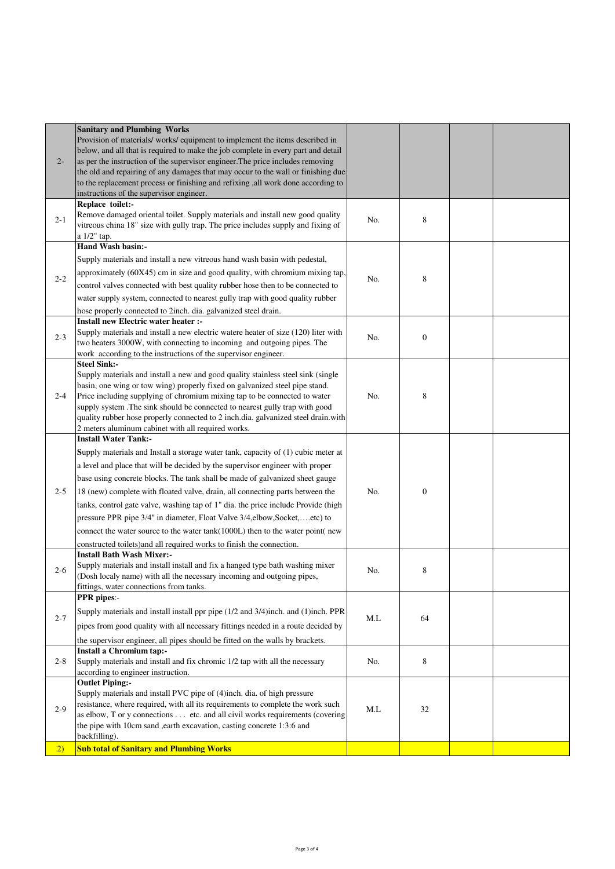| $2 -$   | <b>Sanitary and Plumbing Works</b><br>Provision of materials/works/equipment to implement the items described in<br>below, and all that is required to make the job complete in every part and detail<br>as per the instruction of the supervisor engineer. The price includes removing<br>the old and repairing of any damages that may occur to the wall or finishing due<br>to the replacement process or finishing and refixing ,all work done according to<br>instructions of the supervisor engineer.                                                                                                                                                                                    |     |                  |  |
|---------|------------------------------------------------------------------------------------------------------------------------------------------------------------------------------------------------------------------------------------------------------------------------------------------------------------------------------------------------------------------------------------------------------------------------------------------------------------------------------------------------------------------------------------------------------------------------------------------------------------------------------------------------------------------------------------------------|-----|------------------|--|
| $2 - 1$ | Replace toilet:-<br>Remove damaged oriental toilet. Supply materials and install new good quality<br>vitreous china 18" size with gully trap. The price includes supply and fixing of<br>a 1/2" tap.                                                                                                                                                                                                                                                                                                                                                                                                                                                                                           | No. | 8                |  |
| $2 - 2$ | <b>Hand Wash basin:-</b><br>Supply materials and install a new vitreous hand wash basin with pedestal,<br>approximately (60X45) cm in size and good quality, with chromium mixing tap,<br>control valves connected with best quality rubber hose then to be connected to<br>water supply system, connected to nearest gully trap with good quality rubber<br>hose properly connected to 2inch. dia. galvanized steel drain.                                                                                                                                                                                                                                                                    | No. | 8                |  |
| $2 - 3$ | Install new Electric water heater :-<br>Supply materials and install a new electric watere heater of size (120) liter with<br>two heaters 3000W, with connecting to incoming and outgoing pipes. The<br>work according to the instructions of the supervisor engineer.                                                                                                                                                                                                                                                                                                                                                                                                                         | No. | $\boldsymbol{0}$ |  |
| $2 - 4$ | <b>Steel Sink:-</b><br>Supply materials and install a new and good quality stainless steel sink (single<br>basin, one wing or tow wing) properly fixed on galvanized steel pipe stand.<br>Price including supplying of chromium mixing tap to be connected to water<br>supply system .The sink should be connected to nearest gully trap with good<br>quality rubber hose properly connected to 2 inch.dia. galvanized steel drain.with<br>2 meters aluminum cabinet with all required works.                                                                                                                                                                                                  | No. | 8                |  |
| $2 - 5$ | <b>Install Water Tank:-</b><br>Supply materials and Install a storage water tank, capacity of (1) cubic meter at<br>a level and place that will be decided by the supervisor engineer with proper<br>base using concrete blocks. The tank shall be made of galvanized sheet gauge<br>18 (new) complete with floated valve, drain, all connecting parts between the<br>tanks, control gate valve, washing tap of 1" dia. the price include Provide (high<br>pressure PPR pipe 3/4" in diameter, Float Valve 3/4,elbow, Socket,etc) to<br>connect the water source to the water tank(1000L) then to the water point(new<br>constructed toilets) and all required works to finish the connection. | No. | $\boldsymbol{0}$ |  |
| $2 - 6$ | <b>Install Bath Wash Mixer:-</b><br>Supply materials and install install and fix a hanged type bath washing mixer<br>(Dosh localy name) with all the necessary incoming and outgoing pipes,<br>fittings, water connections from tanks.                                                                                                                                                                                                                                                                                                                                                                                                                                                         | No. | 8                |  |
| $2 - 7$ | <b>PPR</b> pipes:-<br>Supply materials and install install ppr pipe (1/2 and 3/4)inch. and (1)inch. PPR<br>pipes from good quality with all necessary fittings needed in a route decided by<br>the supervisor engineer, all pipes should be fitted on the walls by brackets.                                                                                                                                                                                                                                                                                                                                                                                                                   | M.L | 64               |  |
| $2 - 8$ | Install a Chromium tap:-<br>Supply materials and install and fix chromic 1/2 tap with all the necessary<br>according to engineer instruction.                                                                                                                                                                                                                                                                                                                                                                                                                                                                                                                                                  | No. | 8                |  |
| $2-9$   | <b>Outlet Piping:-</b><br>Supply materials and install PVC pipe of (4)inch. dia. of high pressure<br>resistance, where required, with all its requirements to complete the work such<br>as elbow, T or y connections etc. and all civil works requirements (covering<br>the pipe with 10cm sand ,earth excavation, casting concrete 1:3:6 and<br>backfilling).                                                                                                                                                                                                                                                                                                                                 | ML  | 32               |  |
| (2)     | <b>Sub total of Sanitary and Plumbing Works</b>                                                                                                                                                                                                                                                                                                                                                                                                                                                                                                                                                                                                                                                |     |                  |  |